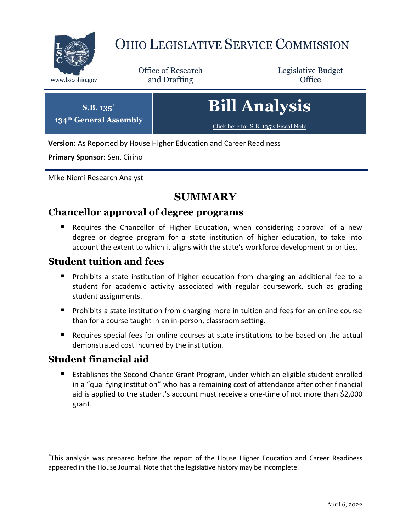

## OHIO LEGISLATIVE SERVICE COMMISSION

Office of Research www.lsc.ohio.gov **and Drafting Office** 

Legislative Budget

| $\mathbf{S}.\mathbf{B}.\overline{\mathbf{1}35}^*$<br>134 <sup>th</sup> General Assembly | Bill Analysis <sub> </sub>            |
|-----------------------------------------------------------------------------------------|---------------------------------------|
|                                                                                         | Click here for S.B. 135's Fiscal Note |

**Version:** As Reported by House Higher Education and Career Readiness

**Primary Sponsor:** Sen. Cirino

Mike Niemi Research Analyst

## **SUMMARY**

## **Chancellor approval of degree programs**

**E** Requires the Chancellor of Higher Education, when considering approval of a new degree or degree program for a state institution of higher education, to take into account the extent to which it aligns with the state's workforce development priorities.

## **Student tuition and fees**

- **Prohibits a state institution of higher education from charging an additional fee to a** student for academic activity associated with regular coursework, such as grading student assignments.
- Prohibits a state institution from charging more in tuition and fees for an online course than for a course taught in an in-person, classroom setting.
- Requires special fees for online courses at state institutions to be based on the actual demonstrated cost incurred by the institution.

## **Student financial aid**

 $\overline{a}$ 

■ Establishes the Second Chance Grant Program, under which an eligible student enrolled in a "qualifying institution" who has a remaining cost of attendance after other financial aid is applied to the student's account must receive a one-time of not more than \$2,000 grant.

<sup>\*</sup>This analysis was prepared before the report of the House Higher Education and Career Readiness appeared in the House Journal. Note that the legislative history may be incomplete.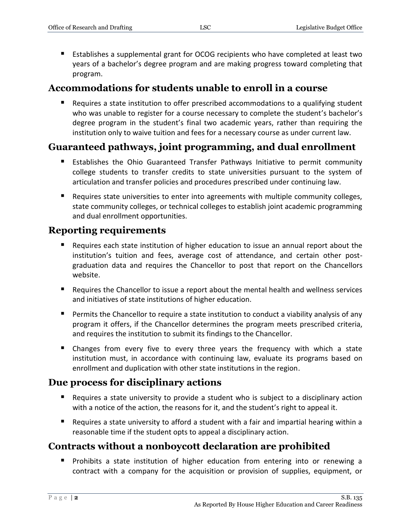Establishes a supplemental grant for OCOG recipients who have completed at least two years of a bachelor's degree program and are making progress toward completing that program.

## **Accommodations for students unable to enroll in a course**

 Requires a state institution to offer prescribed accommodations to a qualifying student who was unable to register for a course necessary to complete the student's bachelor's degree program in the student's final two academic years, rather than requiring the institution only to waive tuition and fees for a necessary course as under current law.

## **Guaranteed pathways, joint programming, and dual enrollment**

- **Establishes the Ohio Guaranteed Transfer Pathways Initiative to permit community** college students to transfer credits to state universities pursuant to the system of articulation and transfer policies and procedures prescribed under continuing law.
- Requires state universities to enter into agreements with multiple community colleges, state community colleges, or technical colleges to establish joint academic programming and dual enrollment opportunities.

## **Reporting requirements**

- Requires each state institution of higher education to issue an annual report about the institution's tuition and fees, average cost of attendance, and certain other postgraduation data and requires the Chancellor to post that report on the Chancellors website.
- Requires the Chancellor to issue a report about the mental health and wellness services and initiatives of state institutions of higher education.
- Permits the Chancellor to require a state institution to conduct a viability analysis of any program it offers, if the Chancellor determines the program meets prescribed criteria, and requires the institution to submit its findings to the Chancellor.
- Changes from every five to every three years the frequency with which a state institution must, in accordance with continuing law, evaluate its programs based on enrollment and duplication with other state institutions in the region.

## **Due process for disciplinary actions**

- Requires a state university to provide a student who is subject to a disciplinary action with a notice of the action, the reasons for it, and the student's right to appeal it.
- Requires a state university to afford a student with a fair and impartial hearing within a reasonable time if the student opts to appeal a disciplinary action.

## **Contracts without a nonboycott declaration are prohibited**

**Prohibits a state institution of higher education from entering into or renewing a** contract with a company for the acquisition or provision of supplies, equipment, or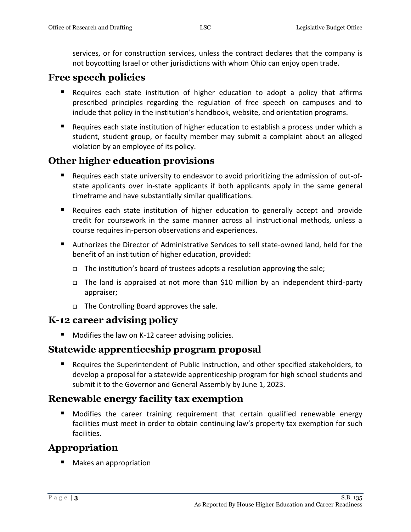services, or for construction services, unless the contract declares that the company is not boycotting Israel or other jurisdictions with whom Ohio can enjoy open trade.

## **Free speech policies**

- Requires each state institution of higher education to adopt a policy that affirms prescribed principles regarding the regulation of free speech on campuses and to include that policy in the institution's handbook, website, and orientation programs.
- Requires each state institution of higher education to establish a process under which a student, student group, or faculty member may submit a complaint about an alleged violation by an employee of its policy.

## **Other higher education provisions**

- Requires each state university to endeavor to avoid prioritizing the admission of out-ofstate applicants over in-state applicants if both applicants apply in the same general timeframe and have substantially similar qualifications.
- Requires each state institution of higher education to generally accept and provide credit for coursework in the same manner across all instructional methods, unless a course requires in-person observations and experiences.
- Authorizes the Director of Administrative Services to sell state-owned land, held for the benefit of an institution of higher education, provided:
	- $\Box$  The institution's board of trustees adopts a resolution approving the sale;
	- The land is appraised at not more than \$10 million by an independent third-party appraiser;
	- □ The Controlling Board approves the sale.

## **K-12 career advising policy**

**Modifies the law on K-12 career advising policies.** 

## **Statewide apprenticeship program proposal**

 Requires the Superintendent of Public Instruction, and other specified stakeholders, to develop a proposal for a statewide apprenticeship program for high school students and submit it to the Governor and General Assembly by June 1, 2023.

## **Renewable energy facility tax exemption**

 Modifies the career training requirement that certain qualified renewable energy facilities must meet in order to obtain continuing law's property tax exemption for such facilities.

## **Appropriation**

■ Makes an appropriation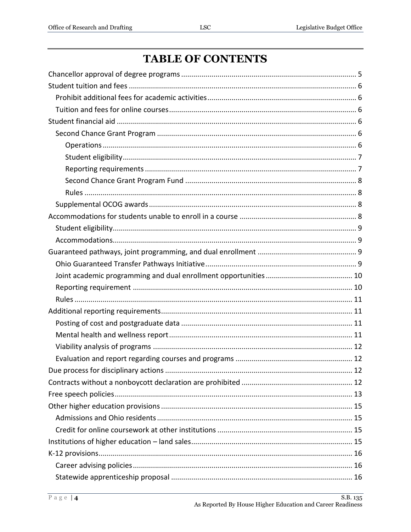# **TABLE OF CONTENTS**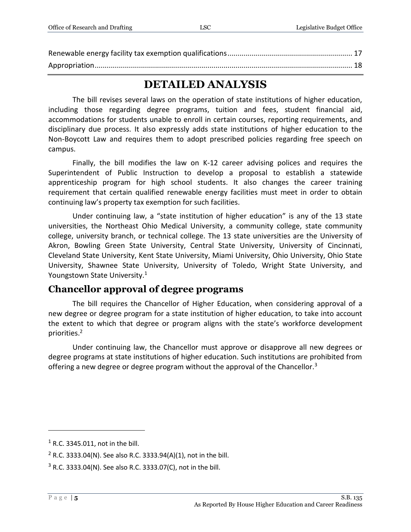## **DETAILED ANALYSIS**

The bill revises several laws on the operation of state institutions of higher education, including those regarding degree programs, tuition and fees, student financial aid, accommodations for students unable to enroll in certain courses, reporting requirements, and disciplinary due process. It also expressly adds state institutions of higher education to the Non-Boycott Law and requires them to adopt prescribed policies regarding free speech on campus.

Finally, the bill modifies the law on K-12 career advising polices and requires the Superintendent of Public Instruction to develop a proposal to establish a statewide apprenticeship program for high school students. It also changes the career training requirement that certain qualified renewable energy facilities must meet in order to obtain continuing law's property tax exemption for such facilities.

Under continuing law, a "state institution of higher education" is any of the 13 state universities, the Northeast Ohio Medical University, a community college, state community college, university branch, or technical college. The 13 state universities are the University of Akron, Bowling Green State University, Central State University, University of Cincinnati, Cleveland State University, Kent State University, Miami University, Ohio University, Ohio State University, Shawnee State University, University of Toledo, Wright State University, and Youngstown State University.<sup>1</sup>

## <span id="page-4-0"></span>**Chancellor approval of degree programs**

The bill requires the Chancellor of Higher Education, when considering approval of a new degree or degree program for a state institution of higher education, to take into account the extent to which that degree or program aligns with the state's workforce development priorities. 2

Under continuing law, the Chancellor must approve or disapprove all new degrees or degree programs at state institutions of higher education. Such institutions are prohibited from offering a new degree or degree program without the approval of the Chancellor.<sup>3</sup>

<sup>1</sup> R.C. 3345.011, not in the bill.

<sup>&</sup>lt;sup>2</sup> R.C. 3333.04(N). See also R.C. 3333.94(A)(1), not in the bill.

 $3$  R.C. 3333.04(N). See also R.C. 3333.07(C), not in the bill.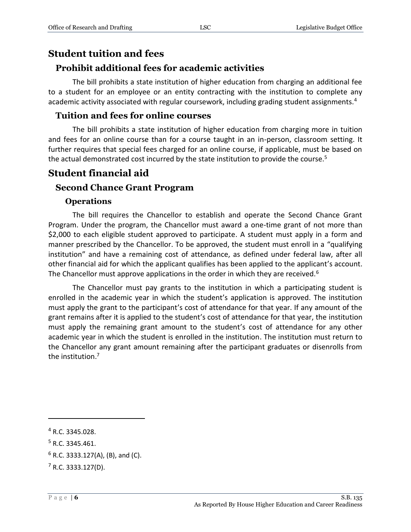#### <span id="page-5-0"></span>**Student tuition and fees**

#### <span id="page-5-1"></span>**Prohibit additional fees for academic activities**

The bill prohibits a state institution of higher education from charging an additional fee to a student for an employee or an entity contracting with the institution to complete any academic activity associated with regular coursework, including grading student assignments.<sup>4</sup>

#### <span id="page-5-2"></span>**Tuition and fees for online courses**

The bill prohibits a state institution of higher education from charging more in tuition and fees for an online course than for a course taught in an in-person, classroom setting. It further requires that special fees charged for an online course, if applicable, must be based on the actual demonstrated cost incurred by the state institution to provide the course.<sup>5</sup>

## <span id="page-5-3"></span>**Student financial aid**

#### <span id="page-5-4"></span>**Second Chance Grant Program**

#### **Operations**

<span id="page-5-5"></span>The bill requires the Chancellor to establish and operate the Second Chance Grant Program. Under the program, the Chancellor must award a one-time grant of not more than \$2,000 to each eligible student approved to participate. A student must apply in a form and manner prescribed by the Chancellor. To be approved, the student must enroll in a "qualifying institution" and have a remaining cost of attendance, as defined under federal law, after all other financial aid for which the applicant qualifies has been applied to the applicant's account. The Chancellor must approve applications in the order in which they are received.<sup>6</sup>

The Chancellor must pay grants to the institution in which a participating student is enrolled in the academic year in which the student's application is approved. The institution must apply the grant to the participant's cost of attendance for that year. If any amount of the grant remains after it is applied to the student's cost of attendance for that year, the institution must apply the remaining grant amount to the student's cost of attendance for any other academic year in which the student is enrolled in the institution. The institution must return to the Chancellor any grant amount remaining after the participant graduates or disenrolls from the institution. 7

<sup>4</sup> R.C. 3345.028.

<sup>5</sup> R.C. 3345.461.

 $6$  R.C. 3333.127(A), (B), and (C).

 $7$  R.C. 3333.127(D).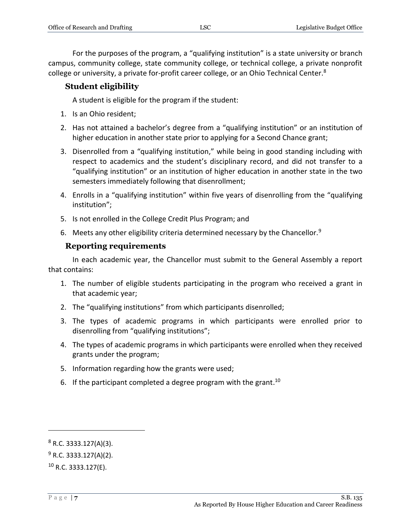For the purposes of the program, a "qualifying institution" is a state university or branch campus, community college, state community college, or technical college, a private nonprofit college or university, a private for-profit career college, or an Ohio Technical Center.<sup>8</sup>

#### <span id="page-6-0"></span>**Student eligibility**

A student is eligible for the program if the student:

- 1. Is an Ohio resident;
- 2. Has not attained a bachelor's degree from a "qualifying institution" or an institution of higher education in another state prior to applying for a Second Chance grant;
- 3. Disenrolled from a "qualifying institution," while being in good standing including with respect to academics and the student's disciplinary record, and did not transfer to a "qualifying institution" or an institution of higher education in another state in the two semesters immediately following that disenrollment;
- 4. Enrolls in a "qualifying institution" within five years of disenrolling from the "qualifying institution";
- 5. Is not enrolled in the College Credit Plus Program; and
- 6. Meets any other eligibility criteria determined necessary by the Chancellor.<sup>9</sup>

#### **Reporting requirements**

<span id="page-6-1"></span>In each academic year, the Chancellor must submit to the General Assembly a report that contains:

- 1. The number of eligible students participating in the program who received a grant in that academic year;
- 2. The "qualifying institutions" from which participants disenrolled;
- 3. The types of academic programs in which participants were enrolled prior to disenrolling from "qualifying institutions";
- 4. The types of academic programs in which participants were enrolled when they received grants under the program;
- 5. Information regarding how the grants were used;
- 6. If the participant completed a degree program with the grant.<sup>10</sup>

 $8$  R.C. 3333.127(A)(3).

 $9$  R.C. 3333.127(A)(2).

 $10$  R.C. 3333.127(E).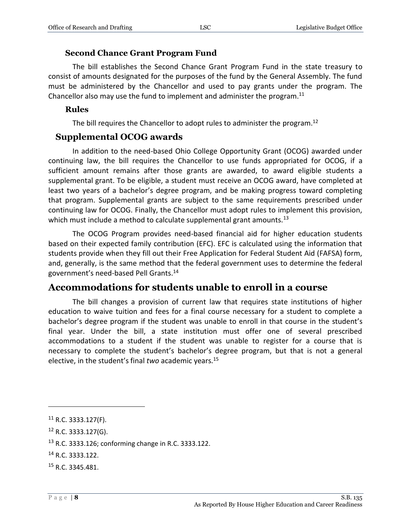#### **Second Chance Grant Program Fund**

<span id="page-7-0"></span>The bill establishes the Second Chance Grant Program Fund in the state treasury to consist of amounts designated for the purposes of the fund by the General Assembly. The fund must be administered by the Chancellor and used to pay grants under the program. The Chancellor also may use the fund to implement and administer the program.<sup>11</sup>

#### <span id="page-7-1"></span>**Rules**

The bill requires the Chancellor to adopt rules to administer the program.<sup>12</sup>

#### <span id="page-7-2"></span>**Supplemental OCOG awards**

In addition to the need-based Ohio College Opportunity Grant (OCOG) awarded under continuing law, the bill requires the Chancellor to use funds appropriated for OCOG, if a sufficient amount remains after those grants are awarded, to award eligible students a supplemental grant. To be eligible, a student must receive an OCOG award, have completed at least two years of a bachelor's degree program, and be making progress toward completing that program. Supplemental grants are subject to the same requirements prescribed under continuing law for OCOG. Finally, the Chancellor must adopt rules to implement this provision, which must include a method to calculate supplemental grant amounts.<sup>13</sup>

The OCOG Program provides need-based financial aid for higher education students based on their expected family contribution (EFC). EFC is calculated using the information that students provide when they fill out their Free Application for Federal Student Aid (FAFSA) form, and, generally, is the same method that the federal government uses to determine the federal government's need-based Pell Grants.<sup>14</sup>

## <span id="page-7-3"></span>**Accommodations for students unable to enroll in a course**

The bill changes a provision of current law that requires state institutions of higher education to waive tuition and fees for a final course necessary for a student to complete a bachelor's degree program if the student was unable to enroll in that course in the student's final year. Under the bill, a state institution must offer one of several prescribed accommodations to a student if the student was unable to register for a course that is necessary to complete the student's bachelor's degree program, but that is not a general elective, in the student's final *two* academic years.<sup>15</sup>

 $11$  R.C. 3333.127(F).

<sup>12</sup> R.C. 3333.127(G).

<sup>13</sup> R.C. 3333.126; conforming change in R.C. 3333.122.

<sup>14</sup> R.C. 3333.122.

<sup>15</sup> R.C. 3345.481.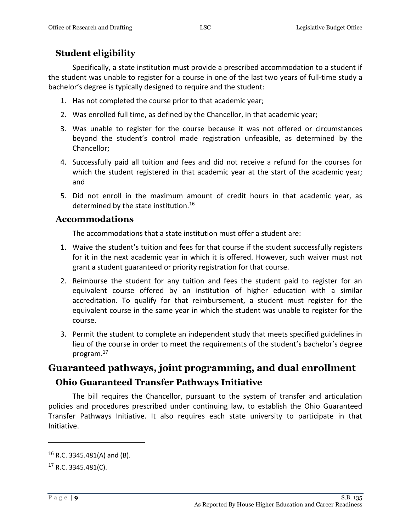## <span id="page-8-0"></span>**Student eligibility**

Specifically, a state institution must provide a prescribed accommodation to a student if the student was unable to register for a course in one of the last two years of full-time study a bachelor's degree is typically designed to require and the student:

- 1. Has not completed the course prior to that academic year;
- 2. Was enrolled full time, as defined by the Chancellor, in that academic year;
- 3. Was unable to register for the course because it was not offered or circumstances beyond the student's control made registration unfeasible, as determined by the Chancellor;
- 4. Successfully paid all tuition and fees and did not receive a refund for the courses for which the student registered in that academic year at the start of the academic year; and
- 5. Did not enroll in the maximum amount of credit hours in that academic year, as determined by the state institution.<sup>16</sup>

#### <span id="page-8-1"></span>**Accommodations**

The accommodations that a state institution must offer a student are:

- 1. Waive the student's tuition and fees for that course if the student successfully registers for it in the next academic year in which it is offered. However, such waiver must not grant a student guaranteed or priority registration for that course.
- 2. Reimburse the student for any tuition and fees the student paid to register for an equivalent course offered by an institution of higher education with a similar accreditation. To qualify for that reimbursement, a student must register for the equivalent course in the same year in which the student was unable to register for the course.
- 3. Permit the student to complete an independent study that meets specified guidelines in lieu of the course in order to meet the requirements of the student's bachelor's degree program.<sup>17</sup>

## <span id="page-8-3"></span><span id="page-8-2"></span>**Guaranteed pathways, joint programming, and dual enrollment Ohio Guaranteed Transfer Pathways Initiative**

The bill requires the Chancellor, pursuant to the system of transfer and articulation policies and procedures prescribed under continuing law, to establish the Ohio Guaranteed Transfer Pathways Initiative. It also requires each state university to participate in that Initiative.

 $16$  R.C. 3345.481(A) and (B).

 $17$  R.C. 3345.481(C).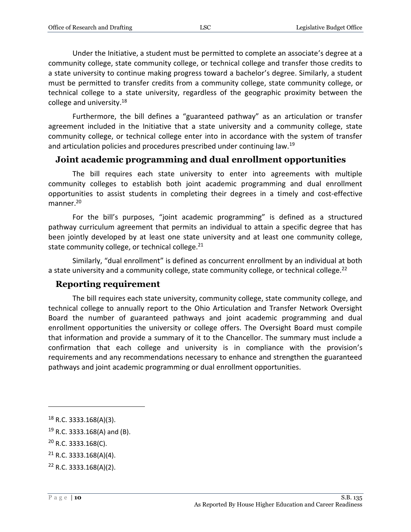Under the Initiative, a student must be permitted to complete an associate's degree at a community college, state community college, or technical college and transfer those credits to a state university to continue making progress toward a bachelor's degree. Similarly, a student must be permitted to transfer credits from a community college, state community college, or technical college to a state university, regardless of the geographic proximity between the college and university.<sup>18</sup>

Furthermore, the bill defines a "guaranteed pathway" as an articulation or transfer agreement included in the Initiative that a state university and a community college, state community college, or technical college enter into in accordance with the system of transfer and articulation policies and procedures prescribed under continuing law.<sup>19</sup>

#### <span id="page-9-0"></span>**Joint academic programming and dual enrollment opportunities**

The bill requires each state university to enter into agreements with multiple community colleges to establish both joint academic programming and dual enrollment opportunities to assist students in completing their degrees in a timely and cost-effective manner.<sup>20</sup>

For the bill's purposes, "joint academic programming" is defined as a structured pathway curriculum agreement that permits an individual to attain a specific degree that has been jointly developed by at least one state university and at least one community college, state community college, or technical college. $21$ 

Similarly, "dual enrollment" is defined as concurrent enrollment by an individual at both a state university and a community college, state community college, or technical college.<sup>22</sup>

#### <span id="page-9-1"></span>**Reporting requirement**

The bill requires each state university, community college, state community college, and technical college to annually report to the Ohio Articulation and Transfer Network Oversight Board the number of guaranteed pathways and joint academic programming and dual enrollment opportunities the university or college offers. The Oversight Board must compile that information and provide a summary of it to the Chancellor. The summary must include a confirmation that each college and university is in compliance with the provision's requirements and any recommendations necessary to enhance and strengthen the guaranteed pathways and joint academic programming or dual enrollment opportunities.

 $18$  R.C. 3333.168(A)(3).

 $19$  R.C. 3333.168(A) and (B).

<sup>20</sup> R.C. 3333.168(C).

 $21$  R.C. 3333.168(A)(4).

<sup>22</sup> R.C. 3333.168(A)(2).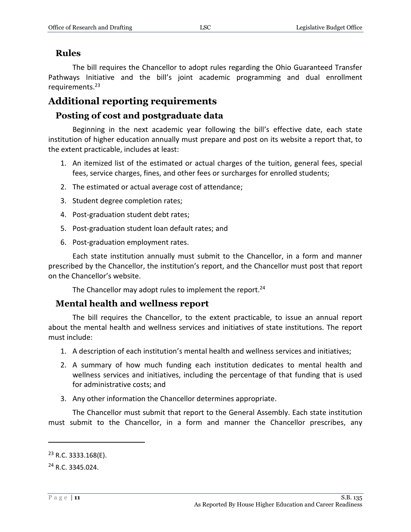#### <span id="page-10-0"></span>**Rules**

The bill requires the Chancellor to adopt rules regarding the Ohio Guaranteed Transfer Pathways Initiative and the bill's joint academic programming and dual enrollment requirements.<sup>23</sup>

## <span id="page-10-1"></span>**Additional reporting requirements**

#### <span id="page-10-2"></span>**Posting of cost and postgraduate data**

Beginning in the next academic year following the bill's effective date, each state institution of higher education annually must prepare and post on its website a report that, to the extent practicable, includes at least:

- 1. An itemized list of the estimated or actual charges of the tuition, general fees, special fees, service charges, fines, and other fees or surcharges for enrolled students;
- 2. The estimated or actual average cost of attendance;
- 3. Student degree completion rates;
- 4. Post-graduation student debt rates;
- 5. Post-graduation student loan default rates; and
- 6. Post-graduation employment rates.

Each state institution annually must submit to the Chancellor, in a form and manner prescribed by the Chancellor, the institution's report, and the Chancellor must post that report on the Chancellor's website.

The Chancellor may adopt rules to implement the report.<sup>24</sup>

#### <span id="page-10-3"></span>**Mental health and wellness report**

The bill requires the Chancellor, to the extent practicable, to issue an annual report about the mental health and wellness services and initiatives of state institutions. The report must include:

- 1. A description of each institution's mental health and wellness services and initiatives;
- 2. A summary of how much funding each institution dedicates to mental health and wellness services and initiatives, including the percentage of that funding that is used for administrative costs; and
- 3. Any other information the Chancellor determines appropriate.

The Chancellor must submit that report to the General Assembly. Each state institution must submit to the Chancellor, in a form and manner the Chancellor prescribes, any

 $23$  R.C. 3333.168(E).

<sup>24</sup> R.C. 3345.024.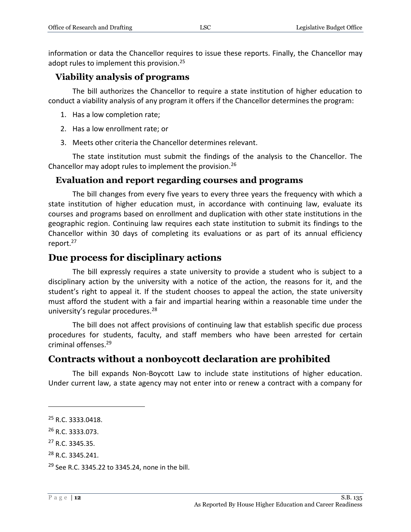information or data the Chancellor requires to issue these reports. Finally, the Chancellor may adopt rules to implement this provision.<sup>25</sup>

#### <span id="page-11-0"></span>**Viability analysis of programs**

The bill authorizes the Chancellor to require a state institution of higher education to conduct a viability analysis of any program it offers if the Chancellor determines the program:

- 1. Has a low completion rate;
- 2. Has a low enrollment rate; or
- 3. Meets other criteria the Chancellor determines relevant.

The state institution must submit the findings of the analysis to the Chancellor. The Chancellor may adopt rules to implement the provision.<sup>26</sup>

#### <span id="page-11-1"></span>**Evaluation and report regarding courses and programs**

The bill changes from every five years to every three years the frequency with which a state institution of higher education must, in accordance with continuing law, evaluate its courses and programs based on enrollment and duplication with other state institutions in the geographic region. Continuing law requires each state institution to submit its findings to the Chancellor within 30 days of completing its evaluations or as part of its annual efficiency report.<sup>27</sup>

#### <span id="page-11-2"></span>**Due process for disciplinary actions**

The bill expressly requires a state university to provide a student who is subject to a disciplinary action by the university with a notice of the action, the reasons for it, and the student's right to appeal it. If the student chooses to appeal the action, the state university must afford the student with a fair and impartial hearing within a reasonable time under the university's regular procedures.<sup>28</sup>

The bill does not affect provisions of continuing law that establish specific due process procedures for students, faculty, and staff members who have been arrested for certain criminal offenses.<sup>29</sup>

## <span id="page-11-3"></span>**Contracts without a nonboycott declaration are prohibited**

The bill expands Non-Boycott Law to include state institutions of higher education. Under current law, a state agency may not enter into or renew a contract with a company for

<sup>&</sup>lt;sup>25</sup> R.C. 3333.0418.

<sup>26</sup> R.C. 3333.073.

<sup>27</sup> R.C. 3345.35.

<sup>&</sup>lt;sup>28</sup> R.C. 3345.241.

<sup>29</sup> See R.C. 3345.22 to 3345.24, none in the bill.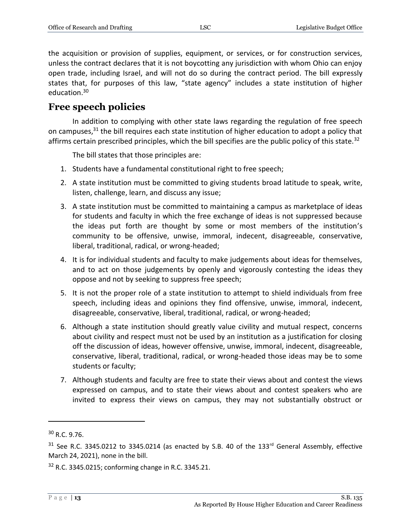the acquisition or provision of supplies, equipment, or services, or for construction services, unless the contract declares that it is not boycotting any jurisdiction with whom Ohio can enjoy open trade, including Israel, and will not do so during the contract period. The bill expressly states that, for purposes of this law, "state agency" includes a state institution of higher education.<sup>30</sup>

## <span id="page-12-0"></span>**Free speech policies**

In addition to complying with other state laws regarding the regulation of free speech on campuses,<sup>31</sup> the bill requires each state institution of higher education to adopt a policy that affirms certain prescribed principles, which the bill specifies are the public policy of this state.<sup>32</sup>

The bill states that those principles are:

- 1. Students have a fundamental constitutional right to free speech;
- 2. A state institution must be committed to giving students broad latitude to speak, write, listen, challenge, learn, and discuss any issue;
- 3. A state institution must be committed to maintaining a campus as marketplace of ideas for students and faculty in which the free exchange of ideas is not suppressed because the ideas put forth are thought by some or most members of the institution's community to be offensive, unwise, immoral, indecent, disagreeable, conservative, liberal, traditional, radical, or wrong-headed;
- 4. It is for individual students and faculty to make judgements about ideas for themselves, and to act on those judgements by openly and vigorously contesting the ideas they oppose and not by seeking to suppress free speech;
- 5. It is not the proper role of a state institution to attempt to shield individuals from free speech, including ideas and opinions they find offensive, unwise, immoral, indecent, disagreeable, conservative, liberal, traditional, radical, or wrong-headed;
- 6. Although a state institution should greatly value civility and mutual respect, concerns about civility and respect must not be used by an institution as a justification for closing off the discussion of ideas, however offensive, unwise, immoral, indecent, disagreeable, conservative, liberal, traditional, radical, or wrong-headed those ideas may be to some students or faculty;
- 7. Although students and faculty are free to state their views about and contest the views expressed on campus, and to state their views about and contest speakers who are invited to express their views on campus, they may not substantially obstruct or

<sup>30</sup> R.C. 9.76.

 $31$  See R.C. 3345.0212 to 3345.0214 (as enacted by S.B. 40 of the 133<sup>rd</sup> General Assembly, effective March 24, 2021), none in the bill.

<sup>32</sup> R.C. 3345.0215; conforming change in R.C. 3345.21.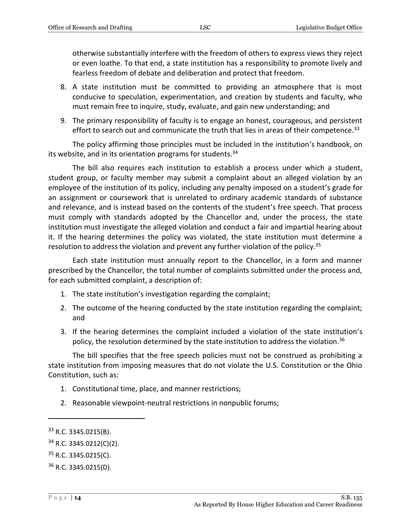otherwise substantially interfere with the freedom of others to express views they reject or even loathe. To that end, a state institution has a responsibility to promote lively and fearless freedom of debate and deliberation and protect that freedom.

- 8. A state institution must be committed to providing an atmosphere that is most conducive to speculation, experimentation, and creation by students and faculty, who must remain free to inquire, study, evaluate, and gain new understanding; and
- 9. The primary responsibility of faculty is to engage an honest, courageous, and persistent effort to search out and communicate the truth that lies in areas of their competence.<sup>33</sup>

The policy affirming those principles must be included in the institution's handbook, on its website, and in its orientation programs for students. $34$ 

The bill also requires each institution to establish a process under which a student, student group, or faculty member may submit a complaint about an alleged violation by an employee of the institution of its policy, including any penalty imposed on a student's grade for an assignment or coursework that is unrelated to ordinary academic standards of substance and relevance, and is instead based on the contents of the student's free speech. That process must comply with standards adopted by the Chancellor and, under the process, the state institution must investigate the alleged violation and conduct a fair and impartial hearing about it. If the hearing determines the policy was violated, the state institution must determine a resolution to address the violation and prevent any further violation of the policy.<sup>35</sup>

Each state institution must annually report to the Chancellor, in a form and manner prescribed by the Chancellor, the total number of complaints submitted under the process and, for each submitted complaint, a description of:

- 1. The state institution's investigation regarding the complaint;
- 2. The outcome of the hearing conducted by the state institution regarding the complaint; and
- 3. If the hearing determines the complaint included a violation of the state institution's policy, the resolution determined by the state institution to address the violation.<sup>36</sup>

The bill specifies that the free speech policies must not be construed as prohibiting a state institution from imposing measures that do not violate the U.S. Constitution or the Ohio Constitution, such as:

- 1. Constitutional time, place, and manner restrictions;
- 2. Reasonable viewpoint-neutral restrictions in nonpublic forums;

<sup>33</sup> R.C. 3345.0215(B).

 $34$  R.C. 3345.0212(C)(2).

<sup>35</sup> R.C. 3345.0215(C).

<sup>36</sup> R.C. 3345.0215(D).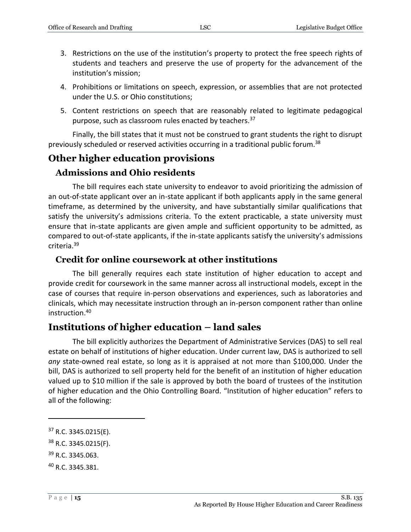- 3. Restrictions on the use of the institution's property to protect the free speech rights of students and teachers and preserve the use of property for the advancement of the institution's mission;
- 4. Prohibitions or limitations on speech, expression, or assemblies that are not protected under the U.S. or Ohio constitutions;
- 5. Content restrictions on speech that are reasonably related to legitimate pedagogical purpose, such as classroom rules enacted by teachers.<sup>37</sup>

Finally, the bill states that it must not be construed to grant students the right to disrupt previously scheduled or reserved activities occurring in a traditional public forum.<sup>38</sup>

## <span id="page-14-0"></span>**Other higher education provisions**

#### <span id="page-14-1"></span>**Admissions and Ohio residents**

The bill requires each state university to endeavor to avoid prioritizing the admission of an out-of-state applicant over an in-state applicant if both applicants apply in the same general timeframe, as determined by the university, and have substantially similar qualifications that satisfy the university's admissions criteria. To the extent practicable, a state university must ensure that in-state applicants are given ample and sufficient opportunity to be admitted, as compared to out-of-state applicants, if the in-state applicants satisfy the university's admissions criteria.<sup>39</sup>

#### <span id="page-14-2"></span>**Credit for online coursework at other institutions**

The bill generally requires each state institution of higher education to accept and provide credit for coursework in the same manner across all instructional models, except in the case of courses that require in-person observations and experiences, such as laboratories and clinicals, which may necessitate instruction through an in-person component rather than online instruction.<sup>40</sup>

#### <span id="page-14-3"></span>**Institutions of higher education – land sales**

The bill explicitly authorizes the Department of Administrative Services (DAS) to sell real estate on behalf of institutions of higher education. Under current law, DAS is authorized to sell *any* state-owned real estate, so long as it is appraised at not more than \$100,000. Under the bill, DAS is authorized to sell property held for the benefit of an institution of higher education valued up to \$10 million if the sale is approved by both the board of trustees of the institution of higher education and the Ohio Controlling Board. "Institution of higher education" refers to all of the following:

<sup>39</sup> R.C. 3345.063.

<sup>37</sup> R.C. 3345.0215(E).

<sup>38</sup> R.C. 3345.0215(F).

<sup>40</sup> R.C. 3345.381.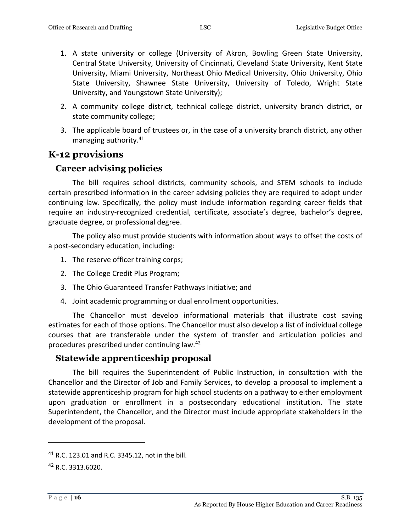- 1. A state university or college (University of Akron, Bowling Green State University, Central State University, University of Cincinnati, Cleveland State University, Kent State University, Miami University, Northeast Ohio Medical University, Ohio University, Ohio State University, Shawnee State University, University of Toledo, Wright State University, and Youngstown State University);
- 2. A community college district, technical college district, university branch district, or state community college;
- 3. The applicable board of trustees or, in the case of a university branch district, any other managing authority. 41

## <span id="page-15-0"></span>**K-12 provisions**

#### <span id="page-15-1"></span>**Career advising policies**

The bill requires school districts, community schools, and STEM schools to include certain prescribed information in the career advising policies they are required to adopt under continuing law. Specifically, the policy must include information regarding career fields that require an industry-recognized credential, certificate, associate's degree, bachelor's degree, graduate degree, or professional degree.

The policy also must provide students with information about ways to offset the costs of a post-secondary education, including:

- 1. The reserve officer training corps;
- 2. The College Credit Plus Program;
- 3. The Ohio Guaranteed Transfer Pathways Initiative; and
- 4. Joint academic programming or dual enrollment opportunities.

The Chancellor must develop informational materials that illustrate cost saving estimates for each of those options. The Chancellor must also develop a list of individual college courses that are transferable under the system of transfer and articulation policies and procedures prescribed under continuing law.<sup>42</sup>

#### <span id="page-15-2"></span>**Statewide apprenticeship proposal**

The bill requires the Superintendent of Public Instruction, in consultation with the Chancellor and the Director of Job and Family Services, to develop a proposal to implement a statewide apprenticeship program for high school students on a pathway to either employment upon graduation or enrollment in a postsecondary educational institution. The state Superintendent, the Chancellor, and the Director must include appropriate stakeholders in the development of the proposal.

<sup>41</sup> R.C. 123.01 and R.C. 3345.12, not in the bill.

<sup>42</sup> R.C. 3313.6020.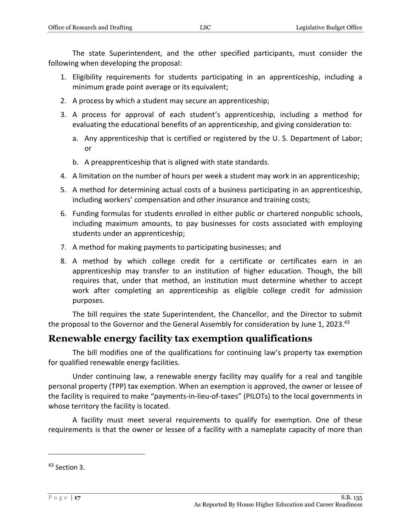The state Superintendent, and the other specified participants, must consider the following when developing the proposal:

- 1. Eligibility requirements for students participating in an apprenticeship, including a minimum grade point average or its equivalent;
- 2. A process by which a student may secure an apprenticeship;
- 3. A process for approval of each student's apprenticeship, including a method for evaluating the educational benefits of an apprenticeship, and giving consideration to:
	- a. Any apprenticeship that is certified or registered by the U. S. Department of Labor; or
	- b. A preapprenticeship that is aligned with state standards.
- 4. A limitation on the number of hours per week a student may work in an apprenticeship;
- 5. A method for determining actual costs of a business participating in an apprenticeship, including workers' compensation and other insurance and training costs;
- 6. Funding formulas for students enrolled in either public or chartered nonpublic schools, including maximum amounts, to pay businesses for costs associated with employing students under an apprenticeship;
- 7. A method for making payments to participating businesses; and
- 8. A method by which college credit for a certificate or certificates earn in an apprenticeship may transfer to an institution of higher education. Though, the bill requires that, under that method, an institution must determine whether to accept work after completing an apprenticeship as eligible college credit for admission purposes.

The bill requires the state Superintendent, the Chancellor, and the Director to submit the proposal to the Governor and the General Assembly for consideration by June 1, 2023.<sup>43</sup>

## <span id="page-16-0"></span>**Renewable energy facility tax exemption qualifications**

The bill modifies one of the qualifications for continuing law's property tax exemption for qualified renewable energy facilities.

Under continuing law, a renewable energy facility may qualify for a real and tangible personal property (TPP) tax exemption. When an exemption is approved, the owner or lessee of the facility is required to make "payments-in-lieu-of-taxes" (PILOTs) to the local governments in whose territory the facility is located.

A facility must meet several requirements to qualify for exemption. One of these requirements is that the owner or lessee of a facility with a nameplate capacity of more than

<sup>43</sup> Section 3.